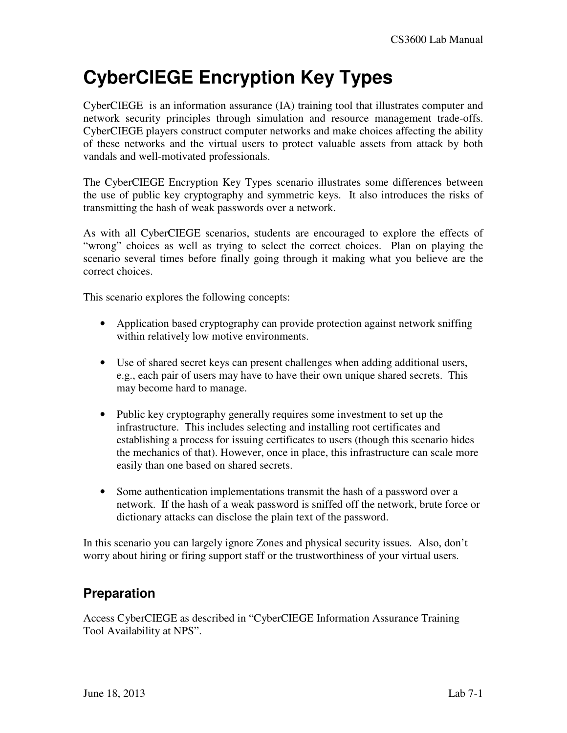# **CyberCIEGE Encryption Key Types**

CyberCIEGE is an information assurance (IA) training tool that illustrates computer and network security principles through simulation and resource management trade-offs. CyberCIEGE players construct computer networks and make choices affecting the ability of these networks and the virtual users to protect valuable assets from attack by both vandals and well-motivated professionals.

The CyberCIEGE Encryption Key Types scenario illustrates some differences between the use of public key cryptography and symmetric keys. It also introduces the risks of transmitting the hash of weak passwords over a network.

As with all CyberCIEGE scenarios, students are encouraged to explore the effects of "wrong" choices as well as trying to select the correct choices. Plan on playing the scenario several times before finally going through it making what you believe are the correct choices.

This scenario explores the following concepts:

- Application based cryptography can provide protection against network sniffing within relatively low motive environments.
- Use of shared secret keys can present challenges when adding additional users, e.g., each pair of users may have to have their own unique shared secrets. This may become hard to manage.
- Public key cryptography generally requires some investment to set up the infrastructure. This includes selecting and installing root certificates and establishing a process for issuing certificates to users (though this scenario hides the mechanics of that). However, once in place, this infrastructure can scale more easily than one based on shared secrets.
- Some authentication implementations transmit the hash of a password over a network. If the hash of a weak password is sniffed off the network, brute force or dictionary attacks can disclose the plain text of the password.

In this scenario you can largely ignore Zones and physical security issues. Also, don't worry about hiring or firing support staff or the trustworthiness of your virtual users.

### **Preparation**

Access CyberCIEGE as described in "CyberCIEGE Information Assurance Training Tool Availability at NPS".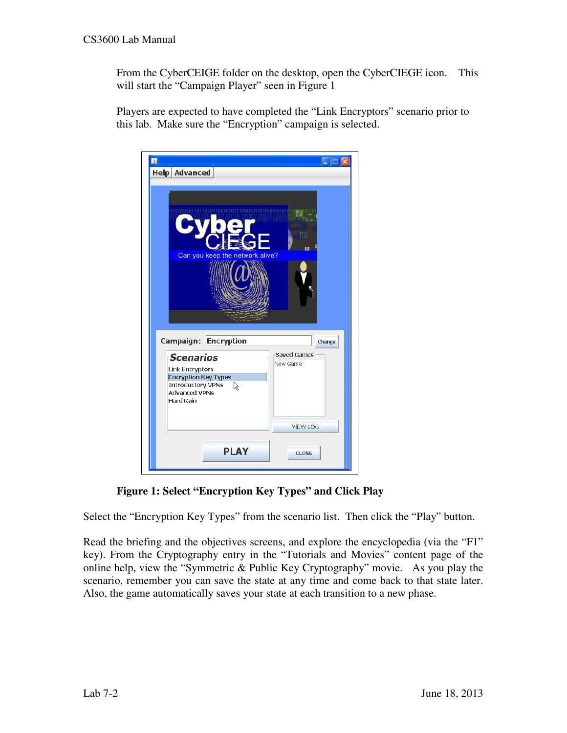From the CyberCEIGE folder on the desktop, open the CyberCIEGE icon. This will start the "Campaign Player" seen in Figure 1

Players are expected to have completed the "Link Encryptors" scenario prior to this lab. Make sure the "Encryption" campaign is selected.

| 鸟<br><b>Help Advanced</b>                                                                                                                                                                |                                          |
|------------------------------------------------------------------------------------------------------------------------------------------------------------------------------------------|------------------------------------------|
| Ŧ<br>Can you keep the network alive?                                                                                                                                                     |                                          |
| <b>Encryption</b><br>Campaign:<br><b>Scenarios</b><br><b>Link Encryptors</b><br><b>Encryption Key Types</b><br><b>Introductory VPNs</b><br>R<br><b>Advanced VPNs</b><br><b>Hard Rain</b> | Change<br><b>Saved Games</b><br>New Game |
| <b>PLAY</b>                                                                                                                                                                              | <b>VIEW LOG</b><br><b>CLOSE</b>          |

**Figure 1: Select "Encryption Key Types" and Click Play** 

Select the "Encryption Key Types" from the scenario list. Then click the "Play" button.

Read the briefing and the objectives screens, and explore the encyclopedia (via the "F1" key). From the Cryptography entry in the "Tutorials and Movies" content page of the online help, view the "Symmetric & Public Key Cryptography" movie. As you play the scenario, remember you can save the state at any time and come back to that state later. Also, the game automatically saves your state at each transition to a new phase.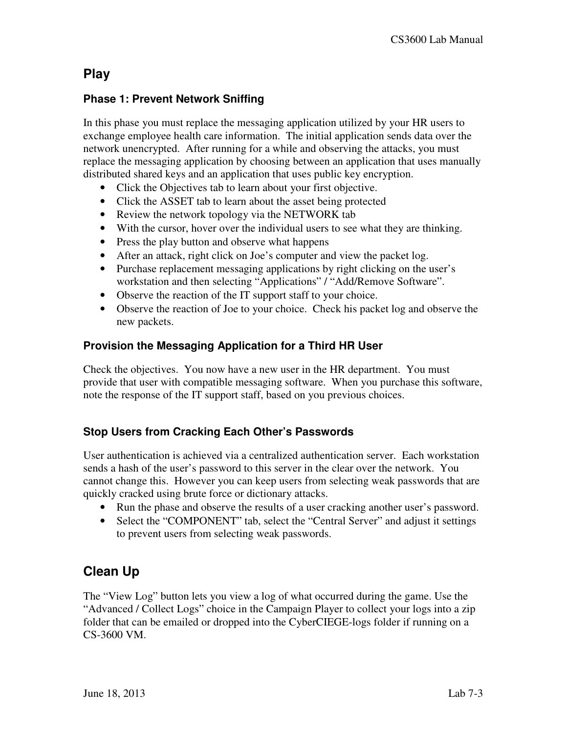### **Play**

#### **Phase 1: Prevent Network Sniffing**

In this phase you must replace the messaging application utilized by your HR users to exchange employee health care information. The initial application sends data over the network unencrypted. After running for a while and observing the attacks, you must replace the messaging application by choosing between an application that uses manually distributed shared keys and an application that uses public key encryption.

- Click the Objectives tab to learn about your first objective.
- Click the ASSET tab to learn about the asset being protected
- Review the network topology via the NETWORK tab
- With the cursor, hover over the individual users to see what they are thinking.
- Press the play button and observe what happens
- After an attack, right click on Joe's computer and view the packet log.
- Purchase replacement messaging applications by right clicking on the user's workstation and then selecting "Applications" / "Add/Remove Software".
- Observe the reaction of the IT support staff to your choice.
- Observe the reaction of Joe to your choice. Check his packet log and observe the new packets.

#### **Provision the Messaging Application for a Third HR User**

Check the objectives. You now have a new user in the HR department. You must provide that user with compatible messaging software. When you purchase this software, note the response of the IT support staff, based on you previous choices.

#### **Stop Users from Cracking Each Other's Passwords**

User authentication is achieved via a centralized authentication server. Each workstation sends a hash of the user's password to this server in the clear over the network. You cannot change this. However you can keep users from selecting weak passwords that are quickly cracked using brute force or dictionary attacks.

- Run the phase and observe the results of a user cracking another user's password.
- Select the "COMPONENT" tab, select the "Central Server" and adjust it settings to prevent users from selecting weak passwords.

## **Clean Up**

The "View Log" button lets you view a log of what occurred during the game. Use the "Advanced / Collect Logs" choice in the Campaign Player to collect your logs into a zip folder that can be emailed or dropped into the CyberCIEGE-logs folder if running on a CS-3600 VM.